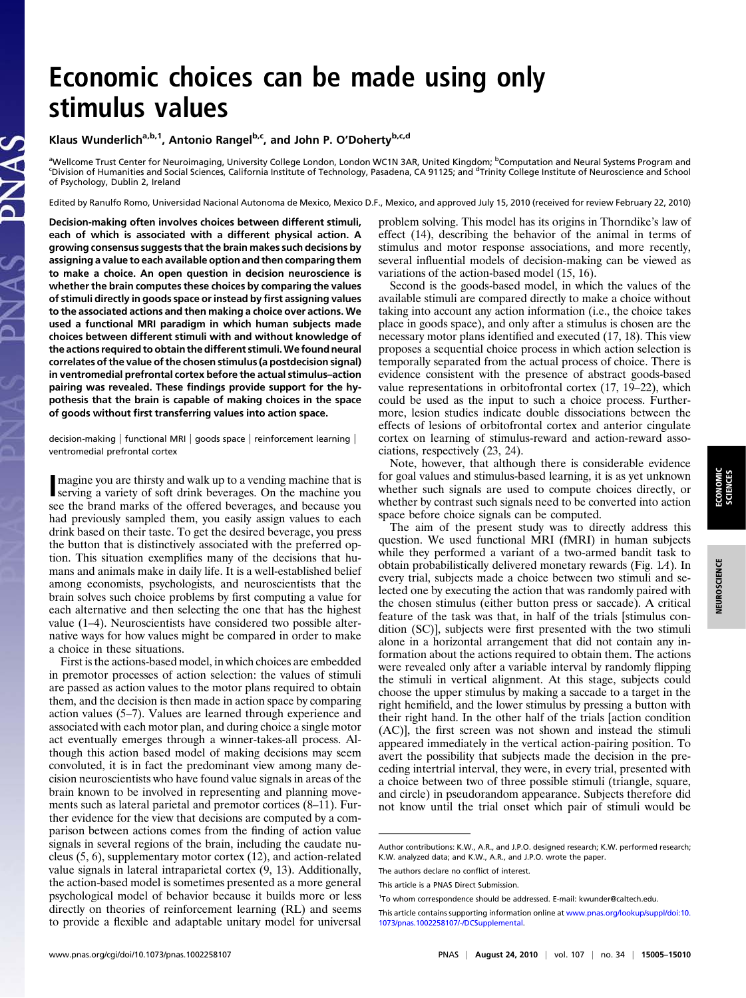# Economic choices can be made using only stimulus values

## Klaus Wunderlich<sup>a,b,1</sup>, Antonio Rangel<sup>b,c</sup>, and John P. O'Doherty<sup>b,c,d</sup>

<sup>a</sup>Wellcome Trust Center for Neuroimaging, University College London, London WC1N 3AR, United Kingdom; <sup>b</sup>Computation and Neural Systems Program and<br><sup>c</sup>Division of Humanities and Social Sciences, California Institute of Te of Psychology, Dublin 2, Ireland

Edited by Ranulfo Romo, Universidad Nacional Autonoma de Mexico, Mexico D.F., Mexico, and approved July 15, 2010 (received for review February 22, 2010)

Decision-making often involves choices between different stimuli, each of which is associated with a different physical action. A growing consensus suggests that the brain makes such decisions by assigning a value to each available option and then comparing them to make a choice. An open question in decision neuroscience is whether the brain computes these choices by comparing the values of stimuli directly in goods space or instead by first assigning values to the associated actions and then making a choice over actions. We used a functional MRI paradigm in which human subjects made choices between different stimuli with and without knowledge of the actions required to obtain the different stimuli. We found neural correlates of the value of the chosen stimulus (a postdecision signal) in ventromedial prefrontal cortex before the actual stimulus–action pairing was revealed. These findings provide support for the hypothesis that the brain is capable of making choices in the space of goods without first transferring values into action space.

decision-making | functional MRI | goods space | reinforcement learning | ventromedial prefrontal cortex

Imagine you are thirsty and walk up to a vending machine that is serving a variety of soft drink beverages. On the machine you magine you are thirsty and walk up to a vending machine that is see the brand marks of the offered beverages, and because you had previously sampled them, you easily assign values to each drink based on their taste. To get the desired beverage, you press the button that is distinctively associated with the preferred option. This situation exemplifies many of the decisions that humans and animals make in daily life. It is a well-established belief among economists, psychologists, and neuroscientists that the brain solves such choice problems by first computing a value for each alternative and then selecting the one that has the highest value (1–4). Neuroscientists have considered two possible alternative ways for how values might be compared in order to make a choice in these situations.

First is the actions-based model, in which choices are embedded in premotor processes of action selection: the values of stimuli are passed as action values to the motor plans required to obtain them, and the decision is then made in action space by comparing action values (5–7). Values are learned through experience and associated with each motor plan, and during choice a single motor act eventually emerges through a winner-takes-all process. Although this action based model of making decisions may seem convoluted, it is in fact the predominant view among many decision neuroscientists who have found value signals in areas of the brain known to be involved in representing and planning movements such as lateral parietal and premotor cortices (8–11). Further evidence for the view that decisions are computed by a comparison between actions comes from the finding of action value signals in several regions of the brain, including the caudate nucleus (5, 6), supplementary motor cortex (12), and action-related value signals in lateral intraparietal cortex (9, 13). Additionally, the action-based model is sometimes presented as a more general psychological model of behavior because it builds more or less directly on theories of reinforcement learning (RL) and seems to provide a flexible and adaptable unitary model for universal problem solving. This model has its origins in Thorndike's law of effect (14), describing the behavior of the animal in terms of stimulus and motor response associations, and more recently, several influential models of decision-making can be viewed as variations of the action-based model (15, 16).

Second is the goods-based model, in which the values of the available stimuli are compared directly to make a choice without taking into account any action information (i.e., the choice takes place in goods space), and only after a stimulus is chosen are the necessary motor plans identified and executed (17, 18). This view proposes a sequential choice process in which action selection is temporally separated from the actual process of choice. There is evidence consistent with the presence of abstract goods-based value representations in orbitofrontal cortex (17, 19–22), which could be used as the input to such a choice process. Furthermore, lesion studies indicate double dissociations between the effects of lesions of orbitofrontal cortex and anterior cingulate cortex on learning of stimulus-reward and action-reward associations, respectively (23, 24).

Note, however, that although there is considerable evidence for goal values and stimulus-based learning, it is as yet unknown whether such signals are used to compute choices directly, or whether by contrast such signals need to be converted into action space before choice signals can be computed.

The aim of the present study was to directly address this question. We used functional MRI (fMRI) in human subjects while they performed a variant of a two-armed bandit task to obtain probabilistically delivered monetary rewards (Fig. 1A). In every trial, subjects made a choice between two stimuli and selected one by executing the action that was randomly paired with the chosen stimulus (either button press or saccade). A critical feature of the task was that, in half of the trials [stimulus condition (SC)], subjects were first presented with the two stimuli alone in a horizontal arrangement that did not contain any information about the actions required to obtain them. The actions were revealed only after a variable interval by randomly flipping the stimuli in vertical alignment. At this stage, subjects could choose the upper stimulus by making a saccade to a target in the right hemifield, and the lower stimulus by pressing a button with their right hand. In the other half of the trials [action condition (AC)], the first screen was not shown and instead the stimuli appeared immediately in the vertical action-pairing position. To avert the possibility that subjects made the decision in the preceding intertrial interval, they were, in every trial, presented with a choice between two of three possible stimuli (triangle, square, and circle) in pseudorandom appearance. Subjects therefore did not know until the trial onset which pair of stimuli would be

Author contributions: K.W., A.R., and J.P.O. designed research; K.W. performed research; K.W. analyzed data; and K.W., A.R., and J.P.O. wrote the paper.

The authors declare no conflict of interest.

This article is a PNAS Direct Submission.

<sup>&</sup>lt;sup>1</sup>To whom correspondence should be addressed. E-mail: [kwunder@caltech.edu.](mailto:kwunder@caltech.edu)

This article contains supporting information online at [www.pnas.org/lookup/suppl/doi:10.](http://www.pnas.org/lookup/suppl/doi:10.1073/pnas.1002258107/-/DCSupplemental) [1073/pnas.1002258107/-/DCSupplemental](http://www.pnas.org/lookup/suppl/doi:10.1073/pnas.1002258107/-/DCSupplemental).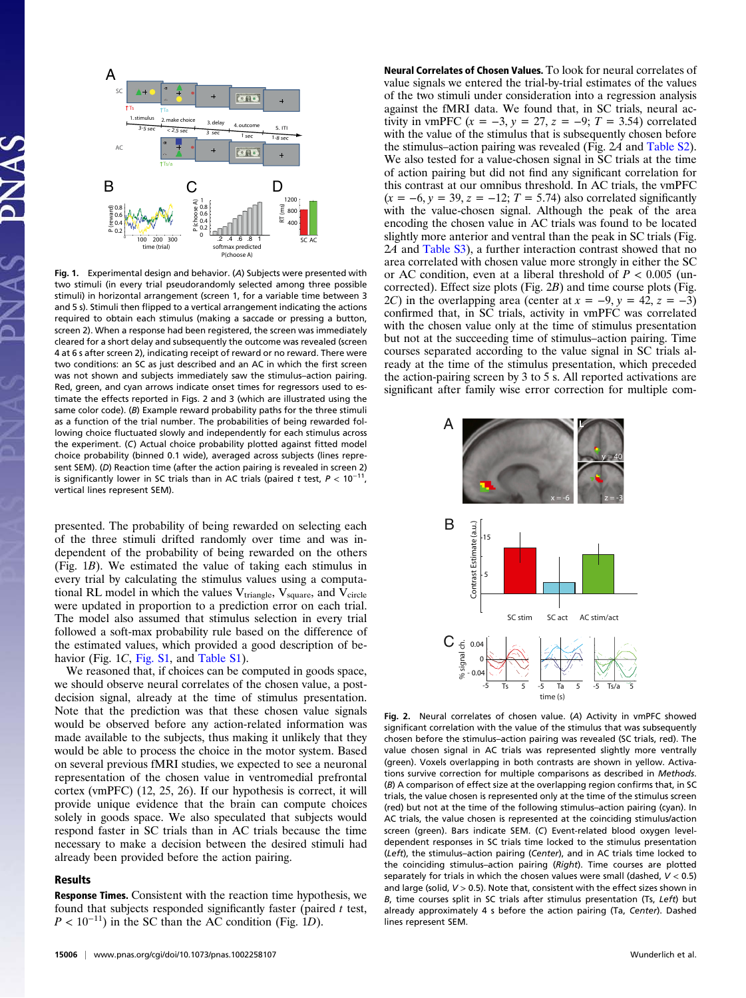

Fig. 1. Experimental design and behavior. (A) Subjects were presented with two stimuli (in every trial pseudorandomly selected among three possible stimuli) in horizontal arrangement (screen 1, for a variable time between 3 and 5 s). Stimuli then flipped to a vertical arrangement indicating the actions required to obtain each stimulus (making a saccade or pressing a button, screen 2). When a response had been registered, the screen was immediately cleared for a short delay and subsequently the outcome was revealed (screen 4 at 6 s after screen 2), indicating receipt of reward or no reward. There were two conditions: an SC as just described and an AC in which the first screen was not shown and subjects immediately saw the stimulus–action pairing. Red, green, and cyan arrows indicate onset times for regressors used to estimate the effects reported in Figs. 2 and 3 (which are illustrated using the same color code). (B) Example reward probability paths for the three stimuli as a function of the trial number. The probabilities of being rewarded following choice fluctuated slowly and independently for each stimulus across the experiment. (C) Actual choice probability plotted against fitted model choice probability (binned 0.1 wide), averaged across subjects (lines represent SEM). (D) Reaction time (after the action pairing is revealed in screen 2) is significantly lower in SC trials than in AC trials (paired t test,  $P < 10^{-11}$ , vertical lines represent SEM).

presented. The probability of being rewarded on selecting each of the three stimuli drifted randomly over time and was independent of the probability of being rewarded on the others (Fig. 1B). We estimated the value of taking each stimulus in every trial by calculating the stimulus values using a computational RL model in which the values  $V_{\text{triangle}}$ ,  $V_{\text{square}}$ , and  $V_{\text{circle}}$ were updated in proportion to a prediction error on each trial. The model also assumed that stimulus selection in every trial followed a soft-max probability rule based on the difference of the estimated values, which provided a good description of be-havior (Fig. 1C, [Fig. S1](http://www.pnas.org/lookup/suppl/doi:10.1073/pnas.1002258107/-/DCSupplemental/pnas.201002258SI.pdf?targetid=nameddest=SF1), and [Table S1\)](http://www.pnas.org/lookup/suppl/doi:10.1073/pnas.1002258107/-/DCSupplemental/pnas.201002258SI.pdf?targetid=nameddest=ST1).

We reasoned that, if choices can be computed in goods space, we should observe neural correlates of the chosen value, a postdecision signal, already at the time of stimulus presentation. Note that the prediction was that these chosen value signals would be observed before any action-related information was made available to the subjects, thus making it unlikely that they would be able to process the choice in the motor system. Based on several previous fMRI studies, we expected to see a neuronal representation of the chosen value in ventromedial prefrontal cortex (vmPFC) (12, 25, 26). If our hypothesis is correct, it will provide unique evidence that the brain can compute choices solely in goods space. We also speculated that subjects would respond faster in SC trials than in AC trials because the time necessary to make a decision between the desired stimuli had already been provided before the action pairing.

### Results

Response Times. Consistent with the reaction time hypothesis, we found that subjects responded significantly faster (paired  $t$  test,  $P < 10^{-11}$ ) in the SC than the AC condition (Fig. 1D).

Neural Correlates of Chosen Values. To look for neural correlates of value signals we entered the trial-by-trial estimates of the values of the two stimuli under consideration into a regression analysis against the fMRI data. We found that, in SC trials, neural activity in vmPFC  $(x = -3, y = 27, z = -9; T = 3.54)$  correlated with the value of the stimulus that is subsequently chosen before the stimulus–action pairing was revealed (Fig. 2A and [Table S2\)](http://www.pnas.org/lookup/suppl/doi:10.1073/pnas.1002258107/-/DCSupplemental/pnas.201002258SI.pdf?targetid=nameddest=ST2). We also tested for a value-chosen signal in SC trials at the time of action pairing but did not find any significant correlation for this contrast at our omnibus threshold. In AC trials, the vmPFC  $(x = -6, y = 39, z = -12; T = 5.74)$  also correlated significantly with the value-chosen signal. Although the peak of the area encoding the chosen value in AC trials was found to be located slightly more anterior and ventral than the peak in SC trials (Fig. 2A and [Table S3\)](http://www.pnas.org/lookup/suppl/doi:10.1073/pnas.1002258107/-/DCSupplemental/pnas.201002258SI.pdf?targetid=nameddest=ST3), a further interaction contrast showed that no area correlated with chosen value more strongly in either the SC or AC condition, even at a liberal threshold of  $P < 0.005$  (uncorrected). Effect size plots (Fig. 2B) and time course plots (Fig. 2C) in the overlapping area (center at  $x = -9$ ,  $y = 42$ ,  $z = -3$ ) confirmed that, in SC trials, activity in vmPFC was correlated with the chosen value only at the time of stimulus presentation but not at the succeeding time of stimulus–action pairing. Time courses separated according to the value signal in SC trials already at the time of the stimulus presentation, which preceded the action-pairing screen by 3 to 5 s. All reported activations are significant after family wise error correction for multiple com-



Fig. 2. Neural correlates of chosen value. (A) Activity in vmPFC showed significant correlation with the value of the stimulus that was subsequently chosen before the stimulus–action pairing was revealed (SC trials, red). The value chosen signal in AC trials was represented slightly more ventrally (green). Voxels overlapping in both contrasts are shown in yellow. Activations survive correction for multiple comparisons as described in Methods. (B) A comparison of effect size at the overlapping region confirms that, in SC trials, the value chosen is represented only at the time of the stimulus screen (red) but not at the time of the following stimulus–action pairing (cyan). In AC trials, the value chosen is represented at the coinciding stimulus/action screen (green). Bars indicate SEM. (C) Event-related blood oxygen leveldependent responses in SC trials time locked to the stimulus presentation (Left), the stimulus–action pairing (Center), and in AC trials time locked to the coinciding stimulus–action pairing (Right). Time courses are plotted separately for trials in which the chosen values were small (dashed,  $V < 0.5$ ) and large (solid,  $V > 0.5$ ). Note that, consistent with the effect sizes shown in B, time courses split in SC trials after stimulus presentation (Ts, Left) but already approximately 4 s before the action pairing (Ta, Center). Dashed lines represent SEM.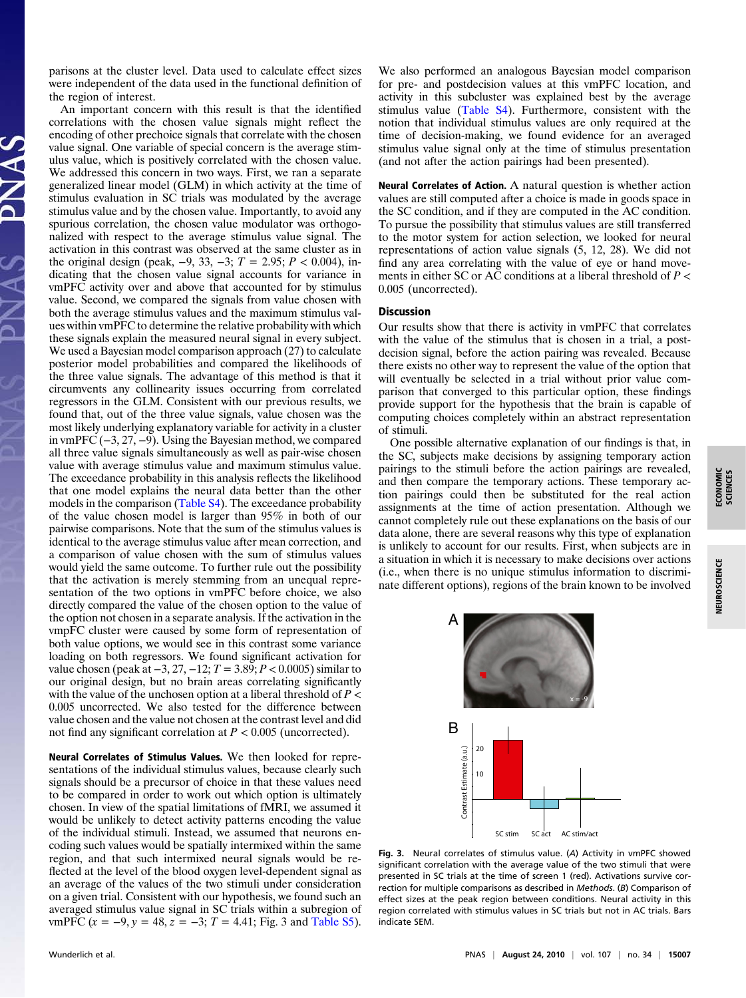parisons at the cluster level. Data used to calculate effect sizes were independent of the data used in the functional definition of the region of interest.

An important concern with this result is that the identified correlations with the chosen value signals might reflect the encoding of other prechoice signals that correlate with the chosen value signal. One variable of special concern is the average stimulus value, which is positively correlated with the chosen value. We addressed this concern in two ways. First, we ran a separate generalized linear model (GLM) in which activity at the time of stimulus evaluation in SC trials was modulated by the average stimulus value and by the chosen value. Importantly, to avoid any spurious correlation, the chosen value modulator was orthogonalized with respect to the average stimulus value signal. The activation in this contrast was observed at the same cluster as in the original design (peak,  $-9$ , 33,  $-3$ ;  $T = 2.95$ ;  $P < 0.004$ ), indicating that the chosen value signal accounts for variance in vmPFC activity over and above that accounted for by stimulus value. Second, we compared the signals from value chosen with both the average stimulus values and the maximum stimulus values within vmPFC to determine the relative probability with which these signals explain the measured neural signal in every subject. We used a Bayesian model comparison approach (27) to calculate posterior model probabilities and compared the likelihoods of the three value signals. The advantage of this method is that it circumvents any collinearity issues occurring from correlated regressors in the GLM. Consistent with our previous results, we found that, out of the three value signals, value chosen was the most likely underlying explanatory variable for activity in a cluster in vmPFC (−3, 27, −9). Using the Bayesian method, we compared all three value signals simultaneously as well as pair-wise chosen value with average stimulus value and maximum stimulus value. The exceedance probability in this analysis reflects the likelihood that one model explains the neural data better than the other models in the comparison ([Table S4\)](http://www.pnas.org/lookup/suppl/doi:10.1073/pnas.1002258107/-/DCSupplemental/pnas.201002258SI.pdf?targetid=nameddest=ST4). The exceedance probability of the value chosen model is larger than 95% in both of our pairwise comparisons. Note that the sum of the stimulus values is identical to the average stimulus value after mean correction, and a comparison of value chosen with the sum of stimulus values would yield the same outcome. To further rule out the possibility that the activation is merely stemming from an unequal representation of the two options in vmPFC before choice, we also directly compared the value of the chosen option to the value of the option not chosen in a separate analysis. If the activation in the vmpFC cluster were caused by some form of representation of both value options, we would see in this contrast some variance loading on both regressors. We found significant activation for value chosen (peak at  $-3$ , 27,  $-12$ ;  $T = 3.89$ ;  $P < 0.0005$ ) similar to our original design, but no brain areas correlating significantly with the value of the unchosen option at a liberal threshold of  $P \lt \theta$ 0.005 uncorrected. We also tested for the difference between value chosen and the value not chosen at the contrast level and did not find any significant correlation at  $P < 0.005$  (uncorrected).

Neural Correlates of Stimulus Values. We then looked for representations of the individual stimulus values, because clearly such signals should be a precursor of choice in that these values need to be compared in order to work out which option is ultimately chosen. In view of the spatial limitations of fMRI, we assumed it would be unlikely to detect activity patterns encoding the value of the individual stimuli. Instead, we assumed that neurons encoding such values would be spatially intermixed within the same region, and that such intermixed neural signals would be reflected at the level of the blood oxygen level-dependent signal as an average of the values of the two stimuli under consideration on a given trial. Consistent with our hypothesis, we found such an averaged stimulus value signal in SC trials within a subregion of vmPFC  $(x = -9, y = 48, z = -3; T = 4.41; Fig. 3 and Table S5$ .

We also performed an analogous Bayesian model comparison for pre- and postdecision values at this vmPFC location, and activity in this subcluster was explained best by the average stimulus value [\(Table S4](http://www.pnas.org/lookup/suppl/doi:10.1073/pnas.1002258107/-/DCSupplemental/pnas.201002258SI.pdf?targetid=nameddest=ST4)). Furthermore, consistent with the notion that individual stimulus values are only required at the time of decision-making, we found evidence for an averaged stimulus value signal only at the time of stimulus presentation (and not after the action pairings had been presented).

Neural Correlates of Action. A natural question is whether action values are still computed after a choice is made in goods space in the SC condition, and if they are computed in the AC condition. To pursue the possibility that stimulus values are still transferred to the motor system for action selection, we looked for neural representations of action value signals (5, 12, 28). We did not find any area correlating with the value of eye or hand movements in either SC or AC conditions at a liberal threshold of  $P \lt \theta$ 0.005 (uncorrected).

## Discussion

Our results show that there is activity in vmPFC that correlates with the value of the stimulus that is chosen in a trial, a postdecision signal, before the action pairing was revealed. Because there exists no other way to represent the value of the option that will eventually be selected in a trial without prior value comparison that converged to this particular option, these findings provide support for the hypothesis that the brain is capable of computing choices completely within an abstract representation of stimuli.

One possible alternative explanation of our findings is that, in the SC, subjects make decisions by assigning temporary action pairings to the stimuli before the action pairings are revealed, and then compare the temporary actions. These temporary action pairings could then be substituted for the real action assignments at the time of action presentation. Although we cannot completely rule out these explanations on the basis of our data alone, there are several reasons why this type of explanation is unlikely to account for our results. First, when subjects are in a situation in which it is necessary to make decisions over actions (i.e., when there is no unique stimulus information to discriminate different options), regions of the brain known to be involved



Fig. 3. Neural correlates of stimulus value. (A) Activity in vmPFC showed significant correlation with the average value of the two stimuli that were presented in SC trials at the time of screen 1 (red). Activations survive correction for multiple comparisons as described in Methods. (B) Comparison of effect sizes at the peak region between conditions. Neural activity in this region correlated with stimulus values in SC trials but not in AC trials. Bars indicate SEM.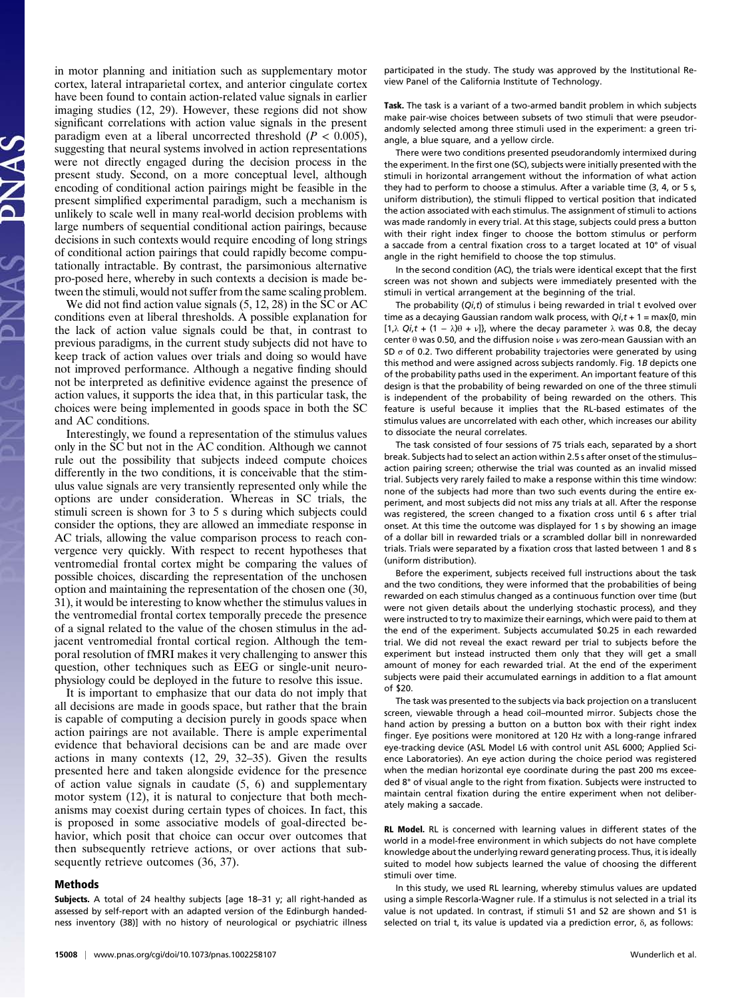in motor planning and initiation such as supplementary motor cortex, lateral intraparietal cortex, and anterior cingulate cortex have been found to contain action-related value signals in earlier imaging studies (12, 29). However, these regions did not show significant correlations with action value signals in the present paradigm even at a liberal uncorrected threshold  $(P < 0.005)$ , suggesting that neural systems involved in action representations were not directly engaged during the decision process in the present study. Second, on a more conceptual level, although encoding of conditional action pairings might be feasible in the present simplified experimental paradigm, such a mechanism is unlikely to scale well in many real-world decision problems with large numbers of sequential conditional action pairings, because decisions in such contexts would require encoding of long strings of conditional action pairings that could rapidly become computationally intractable. By contrast, the parsimonious alternative pro-posed here, whereby in such contexts a decision is made between the stimuli, would not suffer from the same scaling problem.

We did not find action value signals (5, 12, 28) in the SC or AC conditions even at liberal thresholds. A possible explanation for the lack of action value signals could be that, in contrast to previous paradigms, in the current study subjects did not have to keep track of action values over trials and doing so would have not improved performance. Although a negative finding should not be interpreted as definitive evidence against the presence of action values, it supports the idea that, in this particular task, the choices were being implemented in goods space in both the SC and AC conditions.

Interestingly, we found a representation of the stimulus values only in the SC but not in the AC condition. Although we cannot rule out the possibility that subjects indeed compute choices differently in the two conditions, it is conceivable that the stimulus value signals are very transiently represented only while the options are under consideration. Whereas in SC trials, the stimuli screen is shown for 3 to 5 s during which subjects could consider the options, they are allowed an immediate response in AC trials, allowing the value comparison process to reach convergence very quickly. With respect to recent hypotheses that ventromedial frontal cortex might be comparing the values of possible choices, discarding the representation of the unchosen option and maintaining the representation of the chosen one (30, 31), it would be interesting to know whether the stimulus values in the ventromedial frontal cortex temporally precede the presence of a signal related to the value of the chosen stimulus in the adjacent ventromedial frontal cortical region. Although the temporal resolution of fMRI makes it very challenging to answer this question, other techniques such as EEG or single-unit neurophysiology could be deployed in the future to resolve this issue.

It is important to emphasize that our data do not imply that all decisions are made in goods space, but rather that the brain is capable of computing a decision purely in goods space when action pairings are not available. There is ample experimental evidence that behavioral decisions can be and are made over actions in many contexts (12, 29, 32–35). Given the results presented here and taken alongside evidence for the presence of action value signals in caudate (5, 6) and supplementary motor system (12), it is natural to conjecture that both mechanisms may coexist during certain types of choices. In fact, this is proposed in some associative models of goal-directed behavior, which posit that choice can occur over outcomes that then subsequently retrieve actions, or over actions that subsequently retrieve outcomes (36, 37).

#### Methods

Subjects. A total of 24 healthy subjects [age 18-31 y; all right-handed as assessed by self-report with an adapted version of the Edinburgh handedness inventory (38)] with no history of neurological or psychiatric illness participated in the study. The study was approved by the Institutional Review Panel of the California Institute of Technology.

Task. The task is a variant of a two-armed bandit problem in which subjects make pair-wise choices between subsets of two stimuli that were pseudorandomly selected among three stimuli used in the experiment: a green triangle, a blue square, and a yellow circle.

There were two conditions presented pseudorandomly intermixed during the experiment. In the first one (SC), subjects were initially presented with the stimuli in horizontal arrangement without the information of what action they had to perform to choose a stimulus. After a variable time (3, 4, or 5 s, uniform distribution), the stimuli flipped to vertical position that indicated the action associated with each stimulus. The assignment of stimuli to actions was made randomly in every trial. At this stage, subjects could press a button with their right index finger to choose the bottom stimulus or perform a saccade from a central fixation cross to a target located at 10° of visual angle in the right hemifield to choose the top stimulus.

In the second condition (AC), the trials were identical except that the first screen was not shown and subjects were immediately presented with the stimuli in vertical arrangement at the beginning of the trial.

The probability (Qi,t) of stimulus i being rewarded in trial t evolved over time as a decaying Gaussian random walk process, with  $Qi,t + 1 = max\{0, min\}$ [ $1,\lambda$  Qi,t +  $(1 - \lambda)\theta$  +  $\nu$ ]}, where the decay parameter  $\lambda$  was 0.8, the decay center θ was 0.50, and the diffusion noise ν was zero-mean Gaussian with an SD  $\sigma$  of 0.2. Two different probability trajectories were generated by using this method and were assigned across subjects randomly. Fig. 1B depicts one of the probability paths used in the experiment. An important feature of this design is that the probability of being rewarded on one of the three stimuli is independent of the probability of being rewarded on the others. This feature is useful because it implies that the RL-based estimates of the stimulus values are uncorrelated with each other, which increases our ability to dissociate the neural correlates.

The task consisted of four sessions of 75 trials each, separated by a short break. Subjects had to select an action within 2.5 s after onset of the stimulus– action pairing screen; otherwise the trial was counted as an invalid missed trial. Subjects very rarely failed to make a response within this time window: none of the subjects had more than two such events during the entire experiment, and most subjects did not miss any trials at all. After the response was registered, the screen changed to a fixation cross until 6 s after trial onset. At this time the outcome was displayed for 1 s by showing an image of a dollar bill in rewarded trials or a scrambled dollar bill in nonrewarded trials. Trials were separated by a fixation cross that lasted between 1 and 8 s (uniform distribution).

Before the experiment, subjects received full instructions about the task and the two conditions, they were informed that the probabilities of being rewarded on each stimulus changed as a continuous function over time (but were not given details about the underlying stochastic process), and they were instructed to try to maximize their earnings, which were paid to them at the end of the experiment. Subjects accumulated \$0.25 in each rewarded trial. We did not reveal the exact reward per trial to subjects before the experiment but instead instructed them only that they will get a small amount of money for each rewarded trial. At the end of the experiment subjects were paid their accumulated earnings in addition to a flat amount of \$20.

The task was presented to the subjects via back projection on a translucent screen, viewable through a head coil–mounted mirror. Subjects chose the hand action by pressing a button on a button box with their right index finger. Eye positions were monitored at 120 Hz with a long-range infrared eye-tracking device (ASL Model L6 with control unit ASL 6000; Applied Science Laboratories). An eye action during the choice period was registered when the median horizontal eye coordinate during the past 200 ms exceeded 8° of visual angle to the right from fixation. Subjects were instructed to maintain central fixation during the entire experiment when not deliberately making a saccade.

RL Model. RL is concerned with learning values in different states of the world in a model-free environment in which subjects do not have complete knowledge about the underlying reward generating process. Thus, it is ideally suited to model how subjects learned the value of choosing the different stimuli over time.

In this study, we used RL learning, whereby stimulus values are updated using a simple Rescorla-Wagner rule. If a stimulus is not selected in a trial its value is not updated. In contrast, if stimuli S1 and S2 are shown and S1 is selected on trial t, its value is updated via a prediction error, δ, as follows: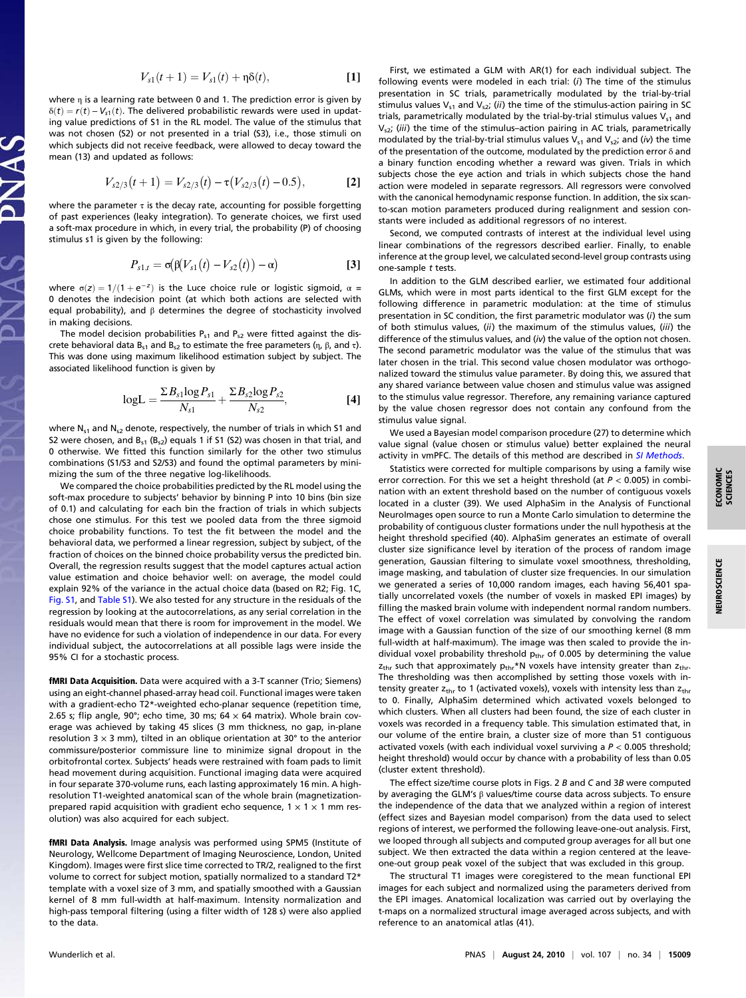$$
V_{s1}(t+1) = V_{s1}(t) + \eta \delta(t), \qquad [1]
$$

where  $\eta$  is a learning rate between 0 and 1. The prediction error is given by  $\delta(t) = r(t) - V_{s1}(t)$ . The delivered probabilistic rewards were used in updating value predictions of S1 in the RL model. The value of the stimulus that was not chosen (S2) or not presented in a trial (S3), i.e., those stimuli on which subjects did not receive feedback, were allowed to decay toward the mean (13) and updated as follows:

$$
V_{s2/3}(t+1) = V_{s2/3}(t) - \tau (V_{s2/3}(t) - 0.5),
$$
 [2]

where the parameter  $\tau$  is the decay rate, accounting for possible forgetting of past experiences (leaky integration). To generate choices, we first used a soft-max procedure in which, in every trial, the probability (P) of choosing stimulus s1 is given by the following:

$$
P_{s1,t} = \sigma(\beta(V_{s1}(t) - V_{s2}(t)) - \alpha)
$$
 [3]

where  $\sigma(z) = 1/(1+e^{-z})$  is the Luce choice rule or logistic sigmoid,  $\alpha$  = 0 denotes the indecision point (at which both actions are selected with equal probability), and  $\beta$  determines the degree of stochasticity involved in making decisions.

The model decision probabilities  $P_{s1}$  and  $P_{s2}$  were fitted against the discrete behavioral data  $B_{s1}$  and  $B_{s2}$  to estimate the free parameters (η, β, and τ). This was done using maximum likelihood estimation subject by subject. The associated likelihood function is given by

$$
logL = \frac{\sum B_{s1} log P_{s1}}{N_{s1}} + \frac{\sum B_{s2} log P_{s2}}{N_{s2}},
$$
 [4]

where  $N_{s1}$  and  $N_{s2}$  denote, respectively, the number of trials in which S1 and S2 were chosen, and  $B_{s1}$  ( $B_{s2}$ ) equals 1 if S1 (S2) was chosen in that trial, and 0 otherwise. We fitted this function similarly for the other two stimulus combinations (S1/S3 and S2/S3) and found the optimal parameters by minimizing the sum of the three negative log-likelihoods.

We compared the choice probabilities predicted by the RL model using the soft-max procedure to subjects' behavior by binning P into 10 bins (bin size of 0.1) and calculating for each bin the fraction of trials in which subjects chose one stimulus. For this test we pooled data from the three sigmoid choice probability functions. To test the fit between the model and the behavioral data, we performed a linear regression, subject by subject, of the fraction of choices on the binned choice probability versus the predicted bin. Overall, the regression results suggest that the model captures actual action value estimation and choice behavior well: on average, the model could explain 92% of the variance in the actual choice data (based on R2; Fig. 1C, [Fig. S1,](http://www.pnas.org/lookup/suppl/doi:10.1073/pnas.1002258107/-/DCSupplemental/pnas.201002258SI.pdf?targetid=nameddest=SF1) and [Table S1\)](http://www.pnas.org/lookup/suppl/doi:10.1073/pnas.1002258107/-/DCSupplemental/pnas.201002258SI.pdf?targetid=nameddest=ST1). We also tested for any structure in the residuals of the regression by looking at the autocorrelations, as any serial correlation in the residuals would mean that there is room for improvement in the model. We have no evidence for such a violation of independence in our data. For every individual subject, the autocorrelations at all possible lags were inside the 95% CI for a stochastic process.

fMRI Data Acquisition. Data were acquired with a 3-T scanner (Trio; Siemens) using an eight-channel phased-array head coil. Functional images were taken with a gradient-echo T2\*-weighted echo-planar sequence (repetition time, 2.65 s; flip angle, 90°; echo time, 30 ms; 64  $\times$  64 matrix). Whole brain coverage was achieved by taking 45 slices (3 mm thickness, no gap, in-plane resolution 3  $\times$  3 mm), tilted in an oblique orientation at 30 $^\circ$  to the anterior commissure/posterior commissure line to minimize signal dropout in the orbitofrontal cortex. Subjects' heads were restrained with foam pads to limit head movement during acquisition. Functional imaging data were acquired in four separate 370-volume runs, each lasting approximately 16 min. A highresolution T1-weighted anatomical scan of the whole brain (magnetizationprepared rapid acquisition with gradient echo sequence,  $1 \times 1 \times 1$  mm resolution) was also acquired for each subject.

fMRI Data Analysis. Image analysis was performed using SPM5 (Institute of Neurology, Wellcome Department of Imaging Neuroscience, London, United Kingdom). Images were first slice time corrected to TR/2, realigned to the first volume to correct for subject motion, spatially normalized to a standard T2\* template with a voxel size of 3 mm, and spatially smoothed with a Gaussian kernel of 8 mm full-width at half-maximum. Intensity normalization and high-pass temporal filtering (using a filter width of 128 s) were also applied to the data.

First, we estimated a GLM with AR(1) for each individual subject. The following events were modeled in each trial: (i) The time of the stimulus presentation in SC trials, parametrically modulated by the trial-by-trial stimulus values  $V_{s1}$  and  $V_{s2}$ ; (ii) the time of the stimulus-action pairing in SC trials, parametrically modulated by the trial-by-trial stimulus values  $V_{s1}$  and  $V_{s2}$ ; (iii) the time of the stimulus-action pairing in AC trials, parametrically modulated by the trial-by-trial stimulus values  $V_{s1}$  and  $V_{s2}$ ; and (iv) the time of the presentation of the outcome, modulated by the prediction error δ and a binary function encoding whether a reward was given. Trials in which subjects chose the eye action and trials in which subjects chose the hand action were modeled in separate regressors. All regressors were convolved with the canonical hemodynamic response function. In addition, the six scanto-scan motion parameters produced during realignment and session constants were included as additional regressors of no interest.

Second, we computed contrasts of interest at the individual level using linear combinations of the regressors described earlier. Finally, to enable inference at the group level, we calculated second-level group contrasts using one-sample t tests.

In addition to the GLM described earlier, we estimated four additional GLMs, which were in most parts identical to the first GLM except for the following difference in parametric modulation: at the time of stimulus presentation in SC condition, the first parametric modulator was (i) the sum of both stimulus values, (ii) the maximum of the stimulus values, (iii) the difference of the stimulus values, and (iv) the value of the option not chosen. The second parametric modulator was the value of the stimulus that was later chosen in the trial. This second value chosen modulator was orthogonalized toward the stimulus value parameter. By doing this, we assured that any shared variance between value chosen and stimulus value was assigned to the stimulus value regressor. Therefore, any remaining variance captured by the value chosen regressor does not contain any confound from the stimulus value signal.

We used a Bayesian model comparison procedure (27) to determine which value signal (value chosen or stimulus value) better explained the neural activity in vmPFC. The details of this method are described in [SI Methods](http://www.pnas.org/lookup/suppl/doi:10.1073/pnas.1002258107/-/DCSupplemental/pnas.201002258SI.pdf?targetid=nameddest=STXT).

Statistics were corrected for multiple comparisons by using a family wise error correction. For this we set a height threshold (at  $P < 0.005$ ) in combination with an extent threshold based on the number of contiguous voxels located in a cluster (39). We used AlphaSim in the Analysis of Functional NeuroImages open source to run a Monte Carlo simulation to determine the probability of contiguous cluster formations under the null hypothesis at the height threshold specified (40). AlphaSim generates an estimate of overall cluster size significance level by iteration of the process of random image generation, Gaussian filtering to simulate voxel smoothness, thresholding, image masking, and tabulation of cluster size frequencies. In our simulation we generated a series of 10,000 random images, each having 56,401 spatially uncorrelated voxels (the number of voxels in masked EPI images) by filling the masked brain volume with independent normal random numbers. The effect of voxel correlation was simulated by convolving the random image with a Gaussian function of the size of our smoothing kernel (8 mm full-width at half-maximum). The image was then scaled to provide the individual voxel probability threshold  $p_{thr}$  of 0.005 by determining the value  $z<sub>thr</sub>$  such that approximately  $p<sub>thr</sub> * N$  voxels have intensity greater than  $z<sub>thr</sub>$ . The thresholding was then accomplished by setting those voxels with intensity greater  $z_{thr}$  to 1 (activated voxels), voxels with intensity less than  $z_{thr}$ to 0. Finally, AlphaSim determined which activated voxels belonged to which clusters. When all clusters had been found, the size of each cluster in voxels was recorded in a frequency table. This simulation estimated that, in our volume of the entire brain, a cluster size of more than 51 contiguous activated voxels (with each individual voxel surviving a  $P < 0.005$  threshold; height threshold) would occur by chance with a probability of less than 0.05 (cluster extent threshold).

The effect size/time course plots in Figs. 2 B and C and 3B were computed by averaging the GLM's  $\beta$  values/time course data across subjects. To ensure the independence of the data that we analyzed within a region of interest (effect sizes and Bayesian model comparison) from the data used to select regions of interest, we performed the following leave-one-out analysis. First, we looped through all subjects and computed group averages for all but one subject. We then extracted the data within a region centered at the leaveone-out group peak voxel of the subject that was excluded in this group.

The structural T1 images were coregistered to the mean functional EPI images for each subject and normalized using the parameters derived from the EPI images. Anatomical localization was carried out by overlaying the t-maps on a normalized structural image averaged across subjects, and with reference to an anatomical atlas (41).